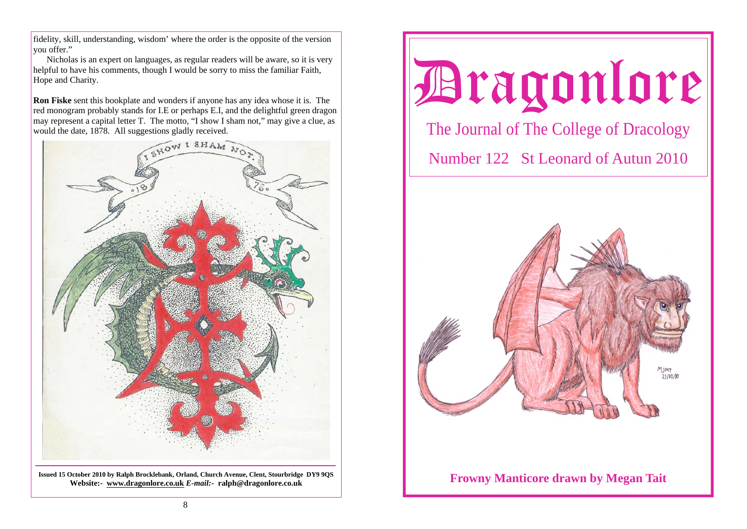fidelity, skill, understanding, wisdom' where the order is the opposite of the version you offer."

 Nicholas is an expert on languages, as regular readers will be aware, so it is very helpful to have his comments, though I would be sorry to miss the familiar Faith, Hope and Charity.

**Ron Fiske** sent this bookplate and wonders if anyone has any idea whose it is. The red monogram probably stands for I.E or perhaps E.I, and the delightful green dragon may represent a capital letter T. The motto, "I show I sham not," may give a clue, as would the date, 1878. All suggestions gladly received.



**Issued 15 October 2010 by Ralph Brocklebank, Orland, Church Avenue, Clent, Stourbridge DY9 9QS Website:- www.dragonlore.co.uk** *E-mail:-* **ralph@dragonlore.co.uk**

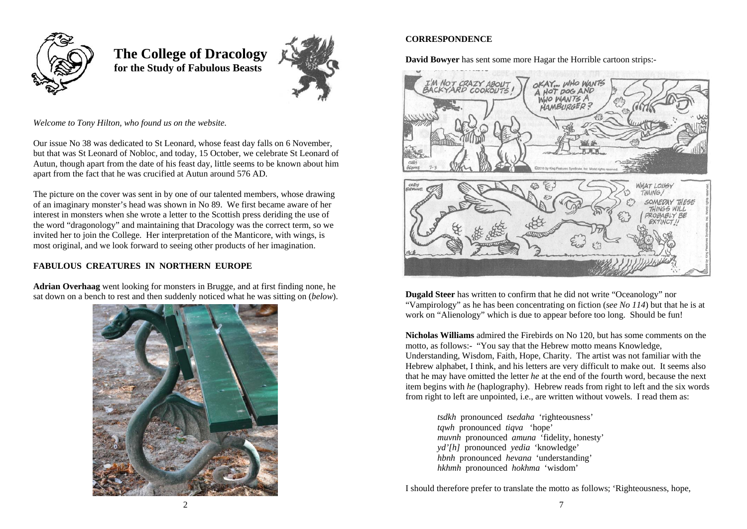

 **The College of Dracology for the Study of Fabulous Beasts** 



*Welcome to Tony Hilton, who found us on the website.*

Our issue No 38 was dedicated to St Leonard, whose feast day falls on 6 November, but that was St Leonard of Nobloc, and today, 15 October, we celebrate St Leonard of Autun, though apart from the date of his feast day, little seems to be known about him apart from the fact that he was crucified at Autun around 576 AD.

The picture on the cover was sent in by one of our talented members, whose drawing of an imaginary monster's head was shown in No 89. We first became aware of her interest in monsters when she wrote a letter to the Scottish press deriding the use of the word "dragonology" and maintaining that Dracology was the correct term, so we invited her to join the College. Her interpretation of the Manticore, with wings, is most original, and we look forward to seeing other products of her imagination.

# **FABULOUS CREATURES IN NORTHERN EUROPE**

**Adrian Overhaag** went looking for monsters in Brugge, and at first finding none, he sat down on a bench to rest and then suddenly noticed what he was sitting on (*below*).



# **CORRESPONDENCE**

**David Bowyer** has sent some more Hagar the Horrible cartoon strips:-



**Dugald Steer** has written to confirm that he did not write "Oceanology" nor "Vampirology" as he has been concentrating on fiction (*see No 114*) but that he is at work on "Alienology" which is due to appear before too long. Should be fun!

**Nicholas Williams** admired the Firebirds on No 120, but has some comments on the motto, as follows:- "You say that the Hebrew motto means Knowledge, Understanding, Wisdom, Faith, Hope, Charity. The artist was not familiar with the Hebrew alphabet, I think, and his letters are very difficult to make out. It seems also that he may have omitted the letter *he* at the end of the fourth word, because the next item begins with *he* (haplography). Hebrew reads from right to left and the six words from right to left are unpointed, i.e., are written without vowels. I read them as:

> *tsdkh* pronounced *tsedaha* 'righteousness' *tqwh* pronounced *tiqva* 'hope' *muvnh* pronounced *amuna* 'fidelity, honesty' *yd'[h]* pronounced *yedia* 'knowledge' *hbnh* pronounced *hevana* 'understanding' *hkhmh* pronounced *hokhma* 'wisdom'

I should therefore prefer to translate the motto as follows; 'Righteousness, hope,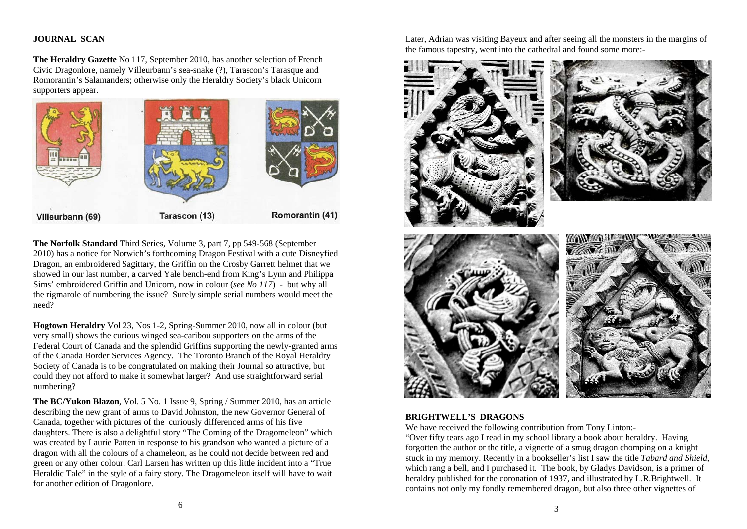### **JOURNAL SCAN**

**The Heraldry Gazette** No 117, September 2010, has another selection of French Civic Dragonlore, namely Villeurbann's sea-snake (?), Tarascon's Tarasque and Romorantin's Salamanders; otherwise only the Heraldry Society's black Unicorn supporters appear.



**The Norfolk Standard** Third Series, Volume 3, part 7, pp 549-568 (September 2010) has a notice for Norwich's forthcoming Dragon Festival with a cute Disneyfied Dragon, an embroidered Sagittary, the Griffin on the Crosby Garrett helmet that we showed in our last number, a carved Yale bench-end from King's Lynn and Philippa Sims' embroidered Griffin and Unicorn, now in colour (*see No 117*) - but why all the rigmarole of numbering the issue? Surely simple serial numbers would meet the need?

**Hogtown Heraldry** Vol 23, Nos 1-2, Spring-Summer 2010, now all in colour (but very small) shows the curious winged sea-caribou supporters on the arms of the Federal Court of Canada and the splendid Griffins supporting the newly-granted arms of the Canada Border Services Agency. The Toronto Branch of the Royal Heraldry Society of Canada is to be congratulated on making their Journal so attractive, but could they not afford to make it somewhat larger? And use straightforward serial numbering?

**The BC/Yukon Blazon**, Vol. 5 No. 1 Issue 9, Spring / Summer 2010, has an article describing the new grant of arms to David Johnston, the new Governor General of Canada, together with pictures of the curiously differenced arms of his five daughters. There is also a delightful story "The Coming of the Dragomeleon" which was created by Laurie Patten in response to his grandson who wanted a picture of a dragon with all the colours of a chameleon, as he could not decide between red and green or any other colour. Carl Larsen has written up this little incident into a "True Heraldic Tale" in the style of a fairy story. The Dragomeleon itself will have to wait for another edition of Dragonlore.

Later, Adrian was visiting Bayeux and after seeing all the monsters in the margins of the famous tapestry, went into the cathedral and found some more:-



#### **BRIGHTWELL'S DRAGONS**

We have received the following contribution from Tony Linton:-

"Over fifty tears ago I read in my school library a book about heraldry. Having forgotten the author or the title, a vignette of a smug dragon chomping on a knight stuck in my memory. Recently in a bookseller's list I saw the title *Tabard and Shield*, which rang a bell, and I purchased it. The book, by Gladys Davidson, is a primer of heraldry published for the coronation of 1937, and illustrated by L.R.Brightwell. It contains not only my fondly remembered dragon, but also three other vignettes of